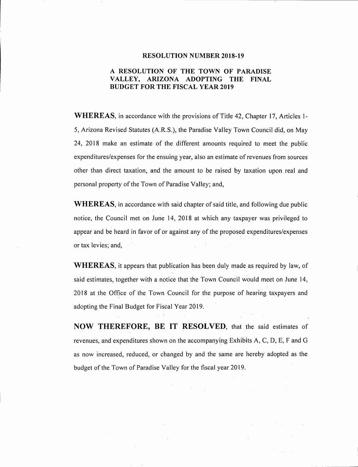#### **RESOLUTION NUMBER 2018-19**

### **A RESOLUTION OF THE TOWN OF PARADISE VALLEY, ARIZONA ADOPTING THE FINAL BUDGET FOR THE FISCAL YEAR 2019**

**WHEREAS,** in accordance with the provisions of Title 42, Chapter 17, Articles 1- 5, Arizona Revised Statutes (A.R.S.), the Paradise Valley Town Council did, on May 24, 2018 make an estimate of the different amounts required to meet the public expenditures/expenses for the ensuing year, also an estimate of revenues from sources other than direct taxation, and the amount to be raised by taxation upon real and personal property of the Town of Paradise Valley; and,

**WHEREAS,** in accordance with said chapter of said title, and following due public notice, the Council met on June 14, 2018 at which any taxpayer was privileged to appear and be heard in favor of or against any of the proposed expenditures/expenses or tax levies; and,

**WHEREAS,** it appears that publication has been duly made as required by law, of said estimates, together with a notice that the Town Council would meet on June 14, 2018 at the Office of the Town Council for the purpose of hearing taxpayers and adopting the Final Budget for Fiscal Year 2019.

**NOW THEREFORE, BE IT RESOLVED,** that the said estimates of revenues, and expenditures shown on the accompanying Exhibits A, C, D, E, F and G as now increased, reduced, or changed by and the same are hereby adopted as the budget of the Town of Paradise Valley for the fiscal year 2019.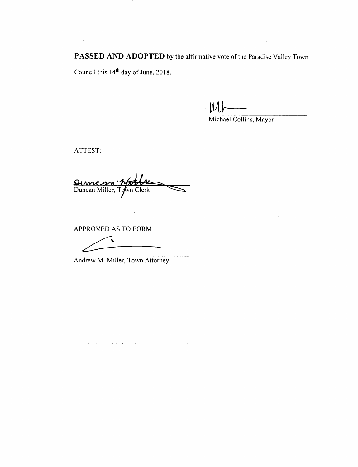PASSED AND ADOPTED by the affirmative vote of the Paradise Valley Town

 $\hat{\boldsymbol{\beta}}$ 

Council this 14<sup>th</sup> day of June, 2018.

 $M\rightarrow$ 

Michael Collins, Mayor

ATTEST:

 $\hat{\mathcal{A}}$ 

Quincon Matthe

APPROVED AS TO FORM

 $\hat{\mathcal{A}}$ 

Andrew M. Miller, Town Attorney

 $\hat{u}$  is a simple properties of the set of the set of  $\hat{u}$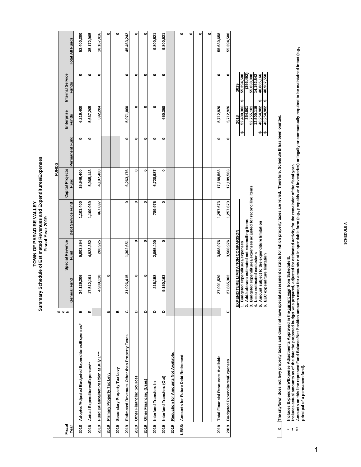# Summary Schedule of Estimated Revenues and Expenditures/Expenses<br>Fiscal Year 2019 **Summary Schedule of Estimated Revenues and Expenditures/Expenses** TOWN OF PARADISE VALLEY **TOWN OF PARADISE VALLEY Fiscal Year 2019**

|                                                          |          |                                                                 |                                   |                                                                                                                                                                                        | <b>FUNDS</b>                    |                |                                                                                                                                  |                                                                                                           |                 |  |
|----------------------------------------------------------|----------|-----------------------------------------------------------------|-----------------------------------|----------------------------------------------------------------------------------------------------------------------------------------------------------------------------------------|---------------------------------|----------------|----------------------------------------------------------------------------------------------------------------------------------|-----------------------------------------------------------------------------------------------------------|-----------------|--|
| Fiscal<br>Year                                           | ဟပ ေ     | General Fund                                                    | Special Revenue<br>Fund           | Debt Service Fund                                                                                                                                                                      | <b>Capital Projects</b><br>Fund | Permanent Fund | Enterprise<br><b>Funds</b>                                                                                                       | Internal Service<br>Funds                                                                                 | Total All Funds |  |
| Adopted/Adjusted Budgeted Expenditures/Expenses*<br>2018 | ш        | 24,129,206                                                      | 5,003,894                         | 1,101,400                                                                                                                                                                              | 15,946,400                      | 0              | 6,219,400                                                                                                                        | 0                                                                                                         | 52,400,300      |  |
| Actual Expenditures/Expenses**<br>2018                   | ш        | 17,512,191                                                      | 4,928,352                         | 1,100,069                                                                                                                                                                              | 5,965,148                       | 0              | 5,667,205                                                                                                                        | $\bullet$                                                                                                 | 35,172,965      |  |
| Fund Balance/Net Position at July 1***<br>2019           |          | 4,909,110                                                       | 200,925                           | 467,697                                                                                                                                                                                | 4,197,400                       |                | 392,284                                                                                                                          | ۰                                                                                                         | 10,167,416      |  |
| Primary Property Tax Levy<br>2019                        | m        | ۰                                                               |                                   |                                                                                                                                                                                        |                                 |                |                                                                                                                                  |                                                                                                           | $\bullet$       |  |
| Secondary Property Tax Levy<br>2019                      | m        |                                                                 |                                   |                                                                                                                                                                                        |                                 |                |                                                                                                                                  |                                                                                                           | $\bullet$       |  |
| Estimated Revenues Other than Property Taxes<br>2019     | $\circ$  | 31,926,415                                                      | 1,302,651                         | $\bullet$                                                                                                                                                                              | 6,263,176                       | $\bullet$      | 5.971.000                                                                                                                        | $\bullet$                                                                                                 | 45,463,242      |  |
| Other Financing Sources<br>2019                          | Δ        | ۰                                                               | $\bullet$                         | ۰                                                                                                                                                                                      | ۰                               | ۰              | $\bullet$                                                                                                                        | ۰                                                                                                         | $\bullet$       |  |
| Other Financing (Uses)<br>2019                           | $\Omega$ | ۰                                                               | ۰                                 | ۰                                                                                                                                                                                      | ۰                               | ۰              | $\bullet$                                                                                                                        | ۰                                                                                                         | $\bullet$       |  |
| 2019 Interfund Transfers In                              | ۵        | 216,158                                                         | 2,065,400                         | 789,976                                                                                                                                                                                | 6,728,987                       | 0              | 0                                                                                                                                | 0                                                                                                         | 9,800,521       |  |
| 2019 Interfund Transfers (Out)                           | $\Omega$ | 9,150,163                                                       | 0                                 | 0                                                                                                                                                                                      | 0                               | $\bullet$      | 650,358                                                                                                                          | $\bullet$                                                                                                 | 9,800,521       |  |
| Reduction for Amounts Not Available:<br>2019             |          |                                                                 |                                   |                                                                                                                                                                                        |                                 |                |                                                                                                                                  |                                                                                                           |                 |  |
| LESS: Amounts for Future Debt Retirement:                |          |                                                                 |                                   |                                                                                                                                                                                        |                                 |                |                                                                                                                                  |                                                                                                           | $\bullet$       |  |
|                                                          |          |                                                                 |                                   |                                                                                                                                                                                        |                                 |                |                                                                                                                                  |                                                                                                           | $\bullet$       |  |
|                                                          |          |                                                                 |                                   |                                                                                                                                                                                        |                                 |                |                                                                                                                                  |                                                                                                           | $\bullet$       |  |
|                                                          |          |                                                                 |                                   |                                                                                                                                                                                        |                                 |                |                                                                                                                                  |                                                                                                           | $\bullet$       |  |
| 2019 Total Financial Resources Available                 |          | 27,901,520                                                      | 3,568,976                         | 1,257,673                                                                                                                                                                              | 17,189,563                      | ۰              | 5,712,926                                                                                                                        | ۰                                                                                                         | 55,630,658      |  |
| <b>Budgeted Expenditures/Expenses</b><br>2019            | ш        | 27,665,362                                                      | 3,568,976                         | 1,257,673                                                                                                                                                                              | 17,189,563                      | $\bullet$      | 5,712,926                                                                                                                        | 0                                                                                                         | 55,394,500      |  |
|                                                          |          | 1. Budgeted expenditures/expenses<br>EEC expenditure limitation | EXPENDITURE LIMITATION COMPARISON | 2. Add/subtract: estimated net reconciling items<br>3. Budgeted expenditures/expenses adjusted for reconciling items<br>4. Less: estimated exclusions<br>6. EEC expenditure limitation |                                 |                | $\frac{40,254,982}{40,254,982}$<br>52,755,101<br>12,500,119<br>52,400,300<br>354,801<br>2018<br>∣⊷<br>₩<br>$\boldsymbol{\theta}$ | (356, 492)<br>55,038,008<br>14,152,842<br>40,907,550<br>40,885,166<br>55,394,500<br>2019<br>H<br>tA)<br>↮ |                 |  |

**X The city/town does not levy property taxes and does not have special assessment districts for which property taxes are levied. Therefore, Schedule B has been omitted.**

**Includes Expenditure/Expense Adjustments Approved in the current year from Schedule E.** 

**\* \*\***

**Includes actual amounts as of the date the proposed budget was prepared, adjusted for estimated activity for the remainder of the fiscal year.**

Includes Expenditure/Expense Adjustments Approved in the <u>current yea</u>r from Schedule E.<br>Includes actual amounts as of the date the proposed budget was prepared, adjusted for estimated activity for the remainder of the fis \*\*\* Amounts on this line represent Fund BalanceMet Position amounts except for amounts not in spendable form (e.g., prepaids and inventories) or legally or contractually required to be maintained intact (e.g., **principal of a permanent fund).**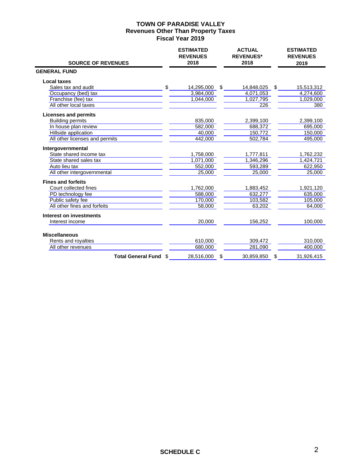#### **TOWN OF PARADISE VALLEY Revenues Other Than Property Taxes Fiscal Year 2019**

| <b>SOURCE OF REVENUES</b>                   | <b>ESTIMATED</b><br><b>REVENUES</b><br>2018 | <b>ACTUAL</b><br><b>REVENUES*</b><br>2018 | <b>ESTIMATED</b><br><b>REVENUES</b><br>2019 |
|---------------------------------------------|---------------------------------------------|-------------------------------------------|---------------------------------------------|
| <b>GENERAL FUND</b>                         |                                             |                                           |                                             |
| <b>Local taxes</b>                          |                                             |                                           |                                             |
| \$<br>Sales tax and audit                   | 14,295,000                                  | \$<br>14,848,025                          | \$<br>15,513,312                            |
| Occupancy (bed) tax                         | 3,984,000                                   | 4,071,053                                 | 4,274,600                                   |
| Franchise (fee) tax                         | 1,044,000                                   | 1,027,795                                 | 1,029,000                                   |
| All other local taxes                       |                                             | 226                                       | 380                                         |
| <b>Licenses and permits</b>                 |                                             |                                           |                                             |
| <b>Building permits</b>                     | 835,000                                     | 2,399,100                                 | 2,399,100                                   |
| In house plan review                        | 582,000                                     | 688,372                                   | 695,000                                     |
| Hillside application                        | 40,000                                      | 150,772                                   | 150,000                                     |
| All other licenses and permits              | 442,000                                     | 502,784                                   | 495,000                                     |
| Intergovernmental                           |                                             |                                           |                                             |
| State shared income tax                     | 1,758,000                                   | 1,777,811                                 | 1,762,232                                   |
| State shared sales tax                      | 1,071,000                                   | 1,346,296                                 | 1,424,721                                   |
| Auto lieu tax                               | 552,000                                     | 593,289                                   | 622,950                                     |
| All other intergovernmental                 | 25,000                                      | 25,000                                    | 25,000                                      |
| <b>Fines and forfeits</b>                   |                                             |                                           |                                             |
| Court collected fines                       | 1,762,000                                   | 1,883,452                                 | 1,921,120                                   |
| PD technology fee                           | 588,000                                     | 632,277                                   | 635,000                                     |
| Public safety fee                           | 170.000                                     | 103,582                                   | 105,000                                     |
| All other fines and forfeits                | 58,000                                      | 63,202                                    | 64,000                                      |
| Interest on investments                     |                                             |                                           |                                             |
| Interest income                             | 20,000                                      | 156,252                                   | 100,000                                     |
|                                             |                                             |                                           |                                             |
| <b>Miscellaneous</b><br>Rents and royalties | 610,000                                     | 309,472                                   | 310,000                                     |
| All other revenues                          | 680,000                                     | 281,090                                   | 400,000                                     |
| Total General Fund \$                       | 28,516,000                                  | \$<br>30,859,850                          | \$<br>31,926,415                            |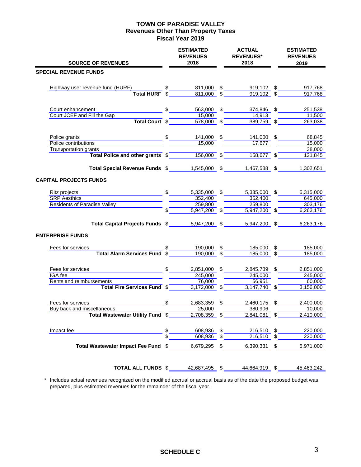#### **TOWN OF PARADISE VALLEY Revenues Other Than Property Taxes Fiscal Year 2019**

| <b>SOURCE OF REVENUES</b>                        | <b>ESTIMATED</b><br><b>REVENUES</b><br>2018 |                | <b>ACTUAL</b><br><b>REVENUES*</b><br>2018                 | <b>ESTIMATED</b><br><b>REVENUES</b><br>2019 |
|--------------------------------------------------|---------------------------------------------|----------------|-----------------------------------------------------------|---------------------------------------------|
| <b>SPECIAL REVENUE FUNDS</b>                     |                                             |                |                                                           |                                             |
|                                                  |                                             |                |                                                           |                                             |
| Highway user revenue fund (HURF)                 | 811,000<br>811,000                          | S              | 919,102                                                   | \$<br>917,768                               |
| <b>Total HURF</b>                                |                                             |                | 919,102                                                   | 917,768                                     |
| Court enhancement                                | \$<br>563,000                               | \$             | 374,846                                                   | \$<br>251,538                               |
| Court JCEF and Fill the Gap                      | 15,000                                      |                | 14,913                                                    | 11,500                                      |
| Total Court \$                                   | 578,000                                     | $\mathfrak{s}$ | 389,759                                                   | \$<br>263,038                               |
| Police grants                                    | \$<br>141,000                               | \$             | 141,000 \$                                                | 68,845                                      |
| Police contributions                             | 15,000                                      |                | 17,677                                                    | 15,000                                      |
| <b>Transportation grants</b>                     |                                             |                |                                                           | 38,000                                      |
| Total Police and other grants \$                 | 156,000                                     | $\mathbb{S}$   | 158,677                                                   | \$<br>121,845                               |
| Total Special Revenue Funds \$1,545,000 \$       |                                             |                | 1,467,538 \$                                              | 1,302,651                                   |
| <b>CAPITAL PROJECTS FUNDS</b>                    |                                             |                |                                                           |                                             |
| Ritz projects                                    | \$<br>5,335,000                             | \$             | 5,335,000                                                 | \$<br>5,315,000                             |
| <b>SRP</b> Aesthics                              | 352,400                                     |                | 352,400                                                   | 645,000                                     |
| <b>Residents of Paradise Valley</b>              | 259,800                                     |                | 259,800                                                   | 303,176                                     |
|                                                  | 5,947,200 \$                                |                | 5,947,200                                                 | \$<br>6,263,176                             |
| Total Capital Projects Funds \$                  | 5,947,200 \$                                |                | 5,947,200                                                 | \$<br>6,263,176                             |
| <b>ENTERPRISE FUNDS</b>                          |                                             |                |                                                           |                                             |
| Fees for services                                | 190,000                                     | \$             | 185,000                                                   | \$<br>185,000                               |
| <b>Total Alarm Services Fund</b>                 | 190,000                                     | \$             | 185,000                                                   | \$<br>185,000                               |
| Fees for services                                | \$<br>2,851,000                             | \$             | 2,845,789                                                 | \$<br>2,851,000                             |
| IGA fee                                          | 245,000                                     |                | 245,000                                                   | 245,000                                     |
| Rents and reimbursements                         | 76,000                                      |                | 56,951                                                    | 60,000                                      |
| Total Fire Services Fund \$                      | $3,172,000$ \$                              |                | 3,147,740                                                 | \$<br>3,156,000                             |
| Fees for services                                | \$<br>2,683,359                             |                | 2,460,175                                                 | \$<br>2,400,000                             |
| Buy back and miscellaneous                       | 25,000                                      |                | 380,906                                                   | 10,000                                      |
| Total Wastewater Utility Fund \$2,708,359 \$     |                                             |                | $2,841,081$ \$                                            | 2,410,000                                   |
| Impact fee                                       |                                             |                |                                                           | 220,000                                     |
|                                                  |                                             |                | $\frac{608,936}{608,936}$ \$ $\frac{216,510}{216,510}$ \$ | 220,000                                     |
| Total Wastewater Impact Fee Fund \$ 6,679,295 \$ |                                             |                | 6,390,331 \$                                              | 5,971,000                                   |
| TOTAL ALL FUNDS \$42,687,495 \$44,664,919 \$     |                                             |                |                                                           | 45,463,242                                  |

 \* Includes actual revenues recognized on the modified accrual or accrual basis as of the date the proposed budget was prepared, plus estimated revenues for the remainder of the fiscal year.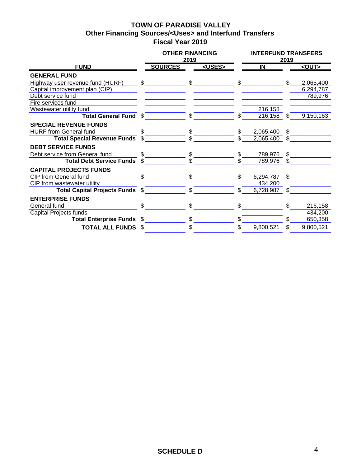## **TOWN OF PARADISE VALLEY Other Financing Sources/<Uses> and Interfund Transfers Fiscal Year 2019**

|                                         |              | <b>OTHER FINANCING</b> | 2019                           |               |                | <b>INTERFUND TRANSFERS</b> | 2019                    |             |
|-----------------------------------------|--------------|------------------------|--------------------------------|---------------|----------------|----------------------------|-------------------------|-------------|
| <b>FUND</b>                             |              | <b>SOURCES</b>         |                                | <uses></uses> |                | $\overline{\mathsf{I}}$    |                         | $<$ OUT $>$ |
| <b>GENERAL FUND</b>                     |              |                        |                                |               |                |                            |                         |             |
| Highway user revenue fund (HURF) \$     |              |                        | $\mathbb{S}$                   |               | $\mathcal{S}$  |                            | $\mathfrak{L}$          | 2,065,400   |
| Capital improvement plan (CIP)          |              |                        |                                |               |                |                            |                         | 6,294,787   |
| Debt service fund                       |              |                        |                                |               |                |                            |                         | 789,976     |
| Fire services fund                      |              |                        |                                |               |                |                            |                         |             |
| Wastewater utility fund                 |              |                        |                                |               |                | 216,158                    |                         |             |
| Total General Fund \$ 5                 |              |                        |                                |               | \$             | 216,158                    | S.                      | 9,150,163   |
| <b>SPECIAL REVENUE FUNDS</b>            |              |                        |                                |               |                |                            |                         |             |
| <b>HURF from General fund</b>           | \$.          |                        | $\frac{1}{\sqrt{2}}$           |               | $\mathfrak{L}$ | 2,065,400                  | $\mathbf{\mathfrak{L}}$ |             |
| Total Special Revenue Funds \$          |              |                        | $\mathbf{s}$                   |               |                | 2,065,400                  | \$                      |             |
| <b>DEBT SERVICE FUNDS</b>               |              |                        |                                |               |                |                            |                         |             |
| Debt service from General fund          | \$.          |                        | $\frac{1}{\sqrt{2}}$           |               | \$             | 789,976                    | $\mathbb{S}$            |             |
| Total Debt Service Funds \$             |              |                        |                                |               |                | 789,976                    | $\mathcal{S}$           |             |
| <b>CAPITAL PROJECTS FUNDS</b>           |              |                        |                                |               |                |                            |                         |             |
| $\mathfrak{S}$<br>CIP from General fund |              |                        | $$\underline{\hspace{1.5em}}$$ |               |                | 6,294,787 \$               |                         |             |
| CIP from wastewater utility             |              |                        |                                |               |                | 434,200                    |                         |             |
|                                         |              |                        |                                |               | \$             | 6,728,987                  | $\mathbb{S}$            |             |
| <b>ENTERPRISE FUNDS</b>                 |              |                        |                                |               |                |                            |                         |             |
| General fund                            | $\mathbb{S}$ |                        | $\mathbb{S}$                   |               | $\mathbb{S}$   |                            | \$                      | 216,158     |
| Capital Projects funds                  |              |                        |                                |               |                |                            |                         | 434,200     |
| Total Enterprise Funds \$               |              |                        | $\mathbb{S}$                   |               | \$.            |                            | \$.                     | 650,358     |
| <b>TOTAL ALL FUNDS \$</b>               |              |                        | \$.                            |               | \$             | 9,800,521                  | \$                      | 9,800,521   |
|                                         |              |                        |                                |               |                |                            |                         |             |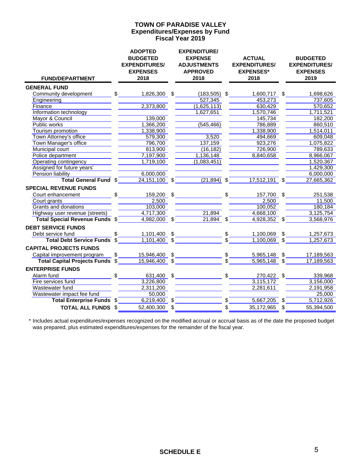#### **Expenditures/Expenses by Fund Fiscal Year 2019 TOWN OF PARADISE VALLEY**

| <b>FUND/DEPARTMENT</b>                 |               | <b>ADOPTED</b><br><b>BUDGETED</b><br><b>EXPENDITURES/</b><br><b>EXPENSES</b><br>2018 |               | <b>EXPENDITURE/</b><br><b>EXPENSE</b><br><b>ADJUSTMENTS</b><br><b>APPROVED</b><br>2018 |                 | <b>ACTUAL</b><br><b>EXPENDITURES/</b><br><b>EXPENSES*</b><br>2018 | <b>BUDGETED</b><br><b>EXPENDITURES/</b><br><b>EXPENSES</b><br>2019 |
|----------------------------------------|---------------|--------------------------------------------------------------------------------------|---------------|----------------------------------------------------------------------------------------|-----------------|-------------------------------------------------------------------|--------------------------------------------------------------------|
| <b>GENERAL FUND</b>                    |               |                                                                                      |               |                                                                                        |                 |                                                                   |                                                                    |
| Community development                  |               | $\frac{1}{2}$<br>1,826,300                                                           | \$            | $(183, 505)$ \$                                                                        |                 | 1,600,717 \$                                                      | 1,698,626                                                          |
| Engineering                            |               |                                                                                      |               | 527,345                                                                                |                 | 453,273                                                           | 737,605                                                            |
| Finance                                |               | 2,373,800                                                                            |               | (1,625,113)                                                                            |                 | 630,429                                                           | 570,652                                                            |
| Information technology                 |               |                                                                                      |               | 1,627,651                                                                              |                 | 1,570,746                                                         | 1,711,521                                                          |
| Mayor & Council                        |               | 139,000                                                                              |               |                                                                                        |                 | 145,734                                                           | 182,200                                                            |
| Public works                           |               | 1,366,200                                                                            |               | (545, 466)                                                                             |                 | 786,889                                                           | 860,510                                                            |
| Tourism promotion                      |               | 1,338,900                                                                            |               |                                                                                        |                 | 1,338,900                                                         | 1,514,011                                                          |
| Town Attorney's office                 |               | 579,300                                                                              |               | 3,520                                                                                  |                 | 494,669                                                           | 609,048                                                            |
| Town Manager's office                  |               | 796,700                                                                              |               | 137,159                                                                                |                 | 923,276                                                           | 1,075,822                                                          |
| Municipal court                        |               | 813,900                                                                              |               | (16, 182)                                                                              |                 | 726,900                                                           | 789,633                                                            |
| Police department                      |               | 7,197,900                                                                            |               | 1,136,148                                                                              |                 | 8,840,658                                                         | 8,966,067                                                          |
| Operating contingency                  |               | 1,719,100                                                                            |               | (1,083,451)                                                                            |                 |                                                                   | 1,520,367                                                          |
| Assigned for future years'             |               |                                                                                      |               |                                                                                        |                 |                                                                   | 1,429,300                                                          |
| <b>Pension liability</b>               |               | 6,000,000                                                                            |               |                                                                                        |                 |                                                                   | 6,000,000                                                          |
| Total General Fund \$                  |               | $24,151,100$ \$                                                                      |               | $(21,894)$ \$                                                                          |                 | $17,512,191$ \$                                                   | 27,665,362                                                         |
| <b>SPECIAL REVENUE FUNDS</b>           |               |                                                                                      |               |                                                                                        |                 |                                                                   |                                                                    |
| Court enhancement                      |               | $\frac{1}{\sqrt{2}}$<br>159,200                                                      | $\frac{1}{2}$ |                                                                                        |                 | $$\overline{\phantom{a}3}$<br>157,700 \$                          | 251,538                                                            |
| Court grants                           |               | 2,500                                                                                |               |                                                                                        |                 | 2,500                                                             | 11,500                                                             |
| Grants and donations                   |               | 103,000                                                                              |               |                                                                                        |                 | 100,052                                                           | 180,184                                                            |
| Highway user revenue (streets)         |               | 4,717,300                                                                            |               | 21,894                                                                                 |                 | 4,668,100                                                         | 3,125,754                                                          |
| <b>Total Special Revenue Funds \$</b>  |               | $4,982,000$ \$                                                                       |               | $21,894$ \$                                                                            |                 | $4,928,352$ \$                                                    | 3,568,976                                                          |
| <b>DEBT SERVICE FUNDS</b>              |               |                                                                                      |               |                                                                                        |                 |                                                                   |                                                                    |
| Debt service fund                      |               |                                                                                      |               |                                                                                        | $\frac{3}{3}$   | 1,100,069                                                         | \$<br>1,257,673                                                    |
| <b>Total Debt Service Funds</b>        | $\frac{3}{5}$ | $\frac{1,101,400}{1,101,400}$ \$                                                     |               |                                                                                        |                 | 1,100,069                                                         | 1,257,673                                                          |
| <b>CAPITAL PROJECTS FUNDS</b>          |               |                                                                                      |               |                                                                                        |                 |                                                                   |                                                                    |
| Capital improvement program            |               | $\frac{1}{2}$<br>15,946,400                                                          | \$            |                                                                                        | $\frac{\$}{\$}$ | 5,965,148 \$                                                      | 17,189,563                                                         |
| <b>Total Capital Projects Funds \$</b> |               | $15,946,400$ \$                                                                      |               |                                                                                        |                 | $5,965,148$ \$                                                    | 17,189,563                                                         |
| <b>ENTERPRISE FUNDS</b>                |               |                                                                                      |               |                                                                                        |                 |                                                                   |                                                                    |
| Alarm fund                             | $\mathsf{\$}$ | 631,400 \$                                                                           |               |                                                                                        |                 | $S_{\perp}$<br>270,422 \$                                         | 339,968                                                            |
| Fire services fund                     |               | 3,226,800                                                                            |               |                                                                                        |                 | 3,115,172                                                         | 3,156,000                                                          |
| Wastewater fund                        |               | 2,311,200                                                                            |               |                                                                                        |                 | 2,281,611                                                         | 2,191,958                                                          |
| Wastewater impact fee fund             |               | 50,000                                                                               |               |                                                                                        |                 |                                                                   | 25,000                                                             |
| <b>Total Enterprise Funds \$</b>       |               | $6,219,400$ \$                                                                       |               |                                                                                        | \$              | $5,667,205$ \$                                                    | 5,712,926                                                          |
| <b>TOTAL ALL FUNDS \$</b>              |               | 52,400,300                                                                           | \$            |                                                                                        | \$              | 35,172,965 \$                                                     | 55,394,500                                                         |

\* Includes actual expenditures/expenses recognized on the modified accrual or accrual basis as of the date the proposed budget was prepared, plus estimated expenditures/expenses for the remainder of the fiscal year.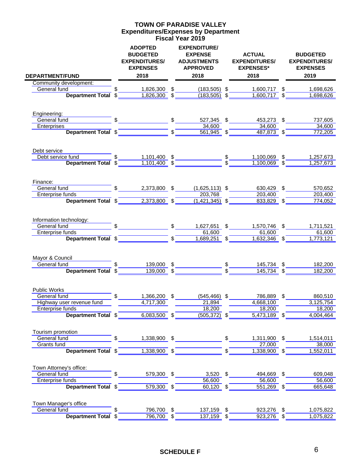#### **Expenditures/Expenses by Department Fiscal Year 2019 TOWN OF PARADISE VALLEY**

| <b>DEPARTMENT/FUND</b>           |               | <b>ADOPTED</b><br><b>BUDGETED</b><br><b>EXPENDITURES/</b><br><b>EXPENSES</b><br>2018                                                                                                                                                                                                                                |                           | <b>EXPENDITURE/</b><br><b>EXPENSE</b><br><b>ADJUSTMENTS</b><br><b>APPROVED</b><br>2018 |                | <b>ACTUAL</b><br><b>EXPENDITURES/</b><br><b>EXPENSES*</b><br>2018                                                                                         | <b>BUDGETED</b><br><b>EXPENDITURES/</b><br><b>EXPENSES</b><br>2019 |
|----------------------------------|---------------|---------------------------------------------------------------------------------------------------------------------------------------------------------------------------------------------------------------------------------------------------------------------------------------------------------------------|---------------------------|----------------------------------------------------------------------------------------|----------------|-----------------------------------------------------------------------------------------------------------------------------------------------------------|--------------------------------------------------------------------|
| Community development:           |               |                                                                                                                                                                                                                                                                                                                     |                           |                                                                                        |                |                                                                                                                                                           |                                                                    |
| General fund                     | $\mathsf{\$}$ |                                                                                                                                                                                                                                                                                                                     |                           |                                                                                        |                |                                                                                                                                                           |                                                                    |
|                                  |               |                                                                                                                                                                                                                                                                                                                     |                           |                                                                                        |                | <b>Department Total <math>\frac{1}{2}</math> 1,826,300 <math>\frac{1}{2}</math> (183,505) <math>\frac{1}{2}</math> 1,600,717 <math>\frac{1}{2}</math></b> | 1,698,626                                                          |
| Engineering:                     |               |                                                                                                                                                                                                                                                                                                                     |                           |                                                                                        |                |                                                                                                                                                           |                                                                    |
| General fund                     |               | $\frac{1}{2}$ $\frac{1}{2}$ $\frac{1}{2}$ $\frac{1}{2}$ $\frac{1}{2}$ $\frac{1}{2}$ $\frac{1}{2}$ $\frac{1}{2}$ $\frac{1}{2}$ $\frac{1}{2}$ $\frac{1}{2}$ $\frac{1}{2}$ $\frac{1}{2}$ $\frac{1}{2}$ $\frac{1}{2}$ $\frac{1}{2}$ $\frac{1}{2}$ $\frac{1}{2}$ $\frac{1}{2}$ $\frac{1}{2}$ $\frac{1}{2}$ $\frac{1}{2}$ |                           | 527,345 \$                                                                             |                | 453,273 \$                                                                                                                                                | 737,605                                                            |
| Enterprises                      |               | Department Total \$                                                                                                                                                                                                                                                                                                 |                           | 34,600<br>$\overline{561,945}$ \$                                                      |                | 34,600                                                                                                                                                    | 34,600                                                             |
|                                  |               |                                                                                                                                                                                                                                                                                                                     |                           |                                                                                        |                | $487,873$ \$                                                                                                                                              | 772,205                                                            |
| Debt service                     |               |                                                                                                                                                                                                                                                                                                                     |                           |                                                                                        |                |                                                                                                                                                           |                                                                    |
| Debt service fund                | \$            | 1,101,400 \$                                                                                                                                                                                                                                                                                                        |                           |                                                                                        |                | 1,100,069 \$<br>$1,100,069$ \$                                                                                                                            | 1,257,673                                                          |
| Department Total \$              |               |                                                                                                                                                                                                                                                                                                                     |                           |                                                                                        |                |                                                                                                                                                           | 1,257,673                                                          |
| Finance:                         |               |                                                                                                                                                                                                                                                                                                                     |                           |                                                                                        |                |                                                                                                                                                           |                                                                    |
| General fund                     |               | $\frac{1}{2}$<br>2,373,800 \$                                                                                                                                                                                                                                                                                       |                           | $(1,625,113)$ \$                                                                       |                | 630,429 \$                                                                                                                                                | 570,652                                                            |
| Enterprise funds                 |               |                                                                                                                                                                                                                                                                                                                     |                           | 203,768                                                                                |                | 203,400                                                                                                                                                   | 203,400                                                            |
| Department Total \$              |               | $2,373,800$ \$                                                                                                                                                                                                                                                                                                      |                           | $(1,421,345)$ \$                                                                       |                | 833,829 \$                                                                                                                                                | 774,052                                                            |
| Information technology:          |               |                                                                                                                                                                                                                                                                                                                     |                           |                                                                                        |                |                                                                                                                                                           |                                                                    |
| General fund                     |               |                                                                                                                                                                                                                                                                                                                     |                           | S<br>1,627,651 \$                                                                      |                | 1,570,746 \$                                                                                                                                              | 1,711,521                                                          |
| Enterprise funds                 |               |                                                                                                                                                                                                                                                                                                                     | $\mathbf{s}$ <sup>-</sup> | 61,600                                                                                 |                | 61,600                                                                                                                                                    | 61,600                                                             |
| Department Total \$              |               |                                                                                                                                                                                                                                                                                                                     |                           | 1,689,251 \$                                                                           |                | 1,632,346 \$                                                                                                                                              | 1,773,121                                                          |
| Mayor & Council                  |               |                                                                                                                                                                                                                                                                                                                     |                           |                                                                                        |                |                                                                                                                                                           |                                                                    |
| General fund                     |               | 139,000 \$                                                                                                                                                                                                                                                                                                          |                           |                                                                                        |                | 145,734 \$                                                                                                                                                | 182,200                                                            |
| Department Total \$              |               | $139,000$ \$                                                                                                                                                                                                                                                                                                        |                           |                                                                                        |                | $145,734$ \$                                                                                                                                              | 182,200                                                            |
| <b>Public Works</b>              |               |                                                                                                                                                                                                                                                                                                                     |                           |                                                                                        |                |                                                                                                                                                           |                                                                    |
| General fund                     |               | $\mathsf{S}$<br>1,366,200 \$                                                                                                                                                                                                                                                                                        |                           | $(545, 466)$ \$                                                                        |                | 786,889 \$                                                                                                                                                | 860,510                                                            |
| Highway user revenue fund        |               | $\overline{4,717,300}$                                                                                                                                                                                                                                                                                              |                           | 21,894                                                                                 |                | 4,668,100                                                                                                                                                 | 3,125,754                                                          |
| Enterprise funds                 |               |                                                                                                                                                                                                                                                                                                                     |                           | 18.200                                                                                 |                | 18.200                                                                                                                                                    | 18,200                                                             |
|                                  |               | Department Total \$ 6,083,500 \$ 605,372 \$                                                                                                                                                                                                                                                                         |                           |                                                                                        |                | $5,473,189$ \$                                                                                                                                            | 4,004,464                                                          |
| Tourism promotion                |               |                                                                                                                                                                                                                                                                                                                     |                           |                                                                                        |                |                                                                                                                                                           |                                                                    |
| General fund                     |               |                                                                                                                                                                                                                                                                                                                     |                           |                                                                                        |                | 1,311,900 \$<br>27,000                                                                                                                                    | 1,514,011<br>$\frac{1}{38,000}$                                    |
| Grants fund                      |               | Department Total \$2000 1,338,900 \$2000 \$                                                                                                                                                                                                                                                                         |                           |                                                                                        | $\mathsf{s}^-$ | $1,338,900$ \$                                                                                                                                            | 1,552,011                                                          |
|                                  |               |                                                                                                                                                                                                                                                                                                                     |                           |                                                                                        |                |                                                                                                                                                           |                                                                    |
| Town Attorney's office:          |               |                                                                                                                                                                                                                                                                                                                     |                           |                                                                                        |                |                                                                                                                                                           |                                                                    |
| General fund<br>Enterprise funds |               | $\frac{1}{\sqrt{2}}$                                                                                                                                                                                                                                                                                                |                           | 579,300 \$ 3,520 \$<br>$\frac{6,600}{56,600}$                                          |                | 494,669 \$<br>56,600                                                                                                                                      | 609,048<br>56,600                                                  |
|                                  |               | Department Total \$1,199,300 \$                                                                                                                                                                                                                                                                                     |                           | $60,120$ \$                                                                            |                | $551,269$ \$                                                                                                                                              | 665,648                                                            |
|                                  |               |                                                                                                                                                                                                                                                                                                                     |                           |                                                                                        |                |                                                                                                                                                           |                                                                    |
| Town Manager's office            |               |                                                                                                                                                                                                                                                                                                                     |                           |                                                                                        |                |                                                                                                                                                           |                                                                    |
| General fund                     |               | 796,700 \$                                                                                                                                                                                                                                                                                                          |                           | 137,159 \$                                                                             |                | 923,276 \$                                                                                                                                                | 1,075,822                                                          |
| Department Total \$              |               | 796,700 \$                                                                                                                                                                                                                                                                                                          |                           | 137,159 \$                                                                             |                | 923,276 \$                                                                                                                                                | $\overline{1,075,822}$                                             |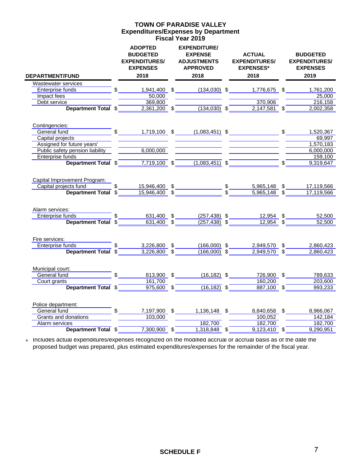#### **Expenditures/Expenses by Department Fiscal Year 2019 TOWN OF PARADISE VALLEY**

|                                    |        | <b>ADOPTED</b><br><b>BUDGETED</b><br><b>EXPENDITURES/</b><br><b>EXPENSES</b> | <b>EXPENDITURE/</b><br><b>EXPENSE</b><br><b>ADJUSTMENTS</b><br><b>APPROVED</b> | <b>ACTUAL</b><br><b>EXPENDITURES/</b><br><b>EXPENSES*</b>                                                                                                                                                      | <b>BUDGETED</b><br><b>EXPENDITURES/</b><br><b>EXPENSES</b> |
|------------------------------------|--------|------------------------------------------------------------------------------|--------------------------------------------------------------------------------|----------------------------------------------------------------------------------------------------------------------------------------------------------------------------------------------------------------|------------------------------------------------------------|
| <b>DEPARTMENT/FUND</b>             |        | 2018                                                                         | 2018                                                                           | 2018                                                                                                                                                                                                           | 2019                                                       |
| Wastewater services                |        |                                                                              |                                                                                |                                                                                                                                                                                                                |                                                            |
| Enterprise funds <b>Enterprise</b> |        | $$\overbrace{\hspace{2.5cm}}$                                                |                                                                                | 1,941,400 \$ (134,030) \$ 1,776,675 \$ 1,761,200                                                                                                                                                               |                                                            |
| Impact fees                        |        | 50,000                                                                       |                                                                                |                                                                                                                                                                                                                | 25,000                                                     |
| Debt service <b>Debt</b> service   |        | 369,800                                                                      |                                                                                | 370,906                                                                                                                                                                                                        | 216,158                                                    |
| <b>Department Total \$</b>         |        |                                                                              |                                                                                | $2,361,200$ \$ $(134,030)$ \$ $2,147,581$ \$                                                                                                                                                                   | 2,002,358                                                  |
| Contingencies:                     |        |                                                                              |                                                                                |                                                                                                                                                                                                                |                                                            |
| General fund                       |        |                                                                              |                                                                                | \$ 1,719,100 \$ (1,083,451) \$ \$ \$                                                                                                                                                                           | 1,520,367                                                  |
| Capital projects                   |        |                                                                              |                                                                                |                                                                                                                                                                                                                | 69,997                                                     |
| Assigned for future years'         |        |                                                                              |                                                                                |                                                                                                                                                                                                                | 1,570,183                                                  |
| Public safety pension liability    |        | 6,000,000                                                                    |                                                                                |                                                                                                                                                                                                                | 6,000,000                                                  |
| Enterprise funds                   |        |                                                                              |                                                                                |                                                                                                                                                                                                                | 159,100                                                    |
|                                    |        |                                                                              |                                                                                | Department Total $\frac{2}{\frac{1}{2}}$ $\frac{7,719,100}{2}$ $\frac{2}{\frac{1}{2}}$ $\frac{(1,083,451)}{2}$ $\frac{2}{\frac{1}{2}}$ $\frac{2}{\frac{1}{2}}$ $\frac{2}{\frac{1}{2}}$ $\frac{2}{\frac{1}{2}}$ | 9,319,647                                                  |
| Capital Improvement Program:       |        |                                                                              |                                                                                |                                                                                                                                                                                                                |                                                            |
| Capital projects fund              |        |                                                                              |                                                                                |                                                                                                                                                                                                                |                                                            |
| Department Total \$                |        |                                                                              |                                                                                | $\frac{$15,946,400}{$15,946,400}$ $\frac{$15,946,400}{$15,946,400}$ $\frac{$17,119,566}{$15,965,148}$ $\frac{$17,119,566}{$15,965,148}$ $\frac{$17,119,566}{$15,965,148}$                                      | 17,119,566                                                 |
| Alarm services:                    |        |                                                                              |                                                                                |                                                                                                                                                                                                                |                                                            |
| Enterprise funds                   |        |                                                                              |                                                                                |                                                                                                                                                                                                                | 52,500                                                     |
| unds<br>Department Total \$        |        |                                                                              |                                                                                | $\frac{631,400}{631,400}$ \$ $\frac{(257,438)}{(257,438)}$ \$ $\frac{12,954}{8}$ \$                                                                                                                            | 52,500                                                     |
|                                    |        |                                                                              |                                                                                |                                                                                                                                                                                                                |                                                            |
| Fire services:                     |        |                                                                              |                                                                                |                                                                                                                                                                                                                |                                                            |
| Enterprise funds                   |        | $\frac{1}{2}$                                                                | 3,226,800 \$ (166,000) \$                                                      | $2,949,570$ \$                                                                                                                                                                                                 | 2,860,423                                                  |
| Department Total \$                |        | $3,226,800$ \$                                                               |                                                                                | $\overline{(166,000)}$ \$ 2,949,570 \$                                                                                                                                                                         | 2,860,423                                                  |
| Municipal court:                   |        |                                                                              |                                                                                |                                                                                                                                                                                                                |                                                            |
| General fund                       |        |                                                                              |                                                                                | 813,900 \$ (16,182) \$ 726,900 \$ 789,633                                                                                                                                                                      |                                                            |
| Court grants                       |        | 161,700                                                                      |                                                                                | 160,200                                                                                                                                                                                                        | 203,600                                                    |
| Department Total \$                |        |                                                                              | $\overline{975,600}$ \$ (16,182) \$                                            | $887,100$ $\sqrt$$                                                                                                                                                                                             | 993,233                                                    |
| Police department:                 |        |                                                                              |                                                                                |                                                                                                                                                                                                                |                                                            |
| General fund                       | $\sim$ | 7,197,900 \$                                                                 | 1,136,148 \$                                                                   | 8,840,658 \$                                                                                                                                                                                                   | 8,966,067                                                  |
| Grants and donations               |        | 103,000                                                                      |                                                                                | 100,052                                                                                                                                                                                                        | $\frac{1}{142,184}$                                        |
| Alarm services                     |        |                                                                              | 182,700                                                                        | 182,700                                                                                                                                                                                                        | 182,700                                                    |
| Department Total \$                |        | $7,300,900$ \$                                                               | $1,318,848$ \$                                                                 | $9,123,410$ \$                                                                                                                                                                                                 | 9,290,951                                                  |
|                                    |        |                                                                              |                                                                                |                                                                                                                                                                                                                |                                                            |

\* Includes actual expenditures/expenses recognized on the modified accrual or accrual basis as of the date the proposed budget was prepared, plus estimated expenditures/expenses for the remainder of the fiscal year.